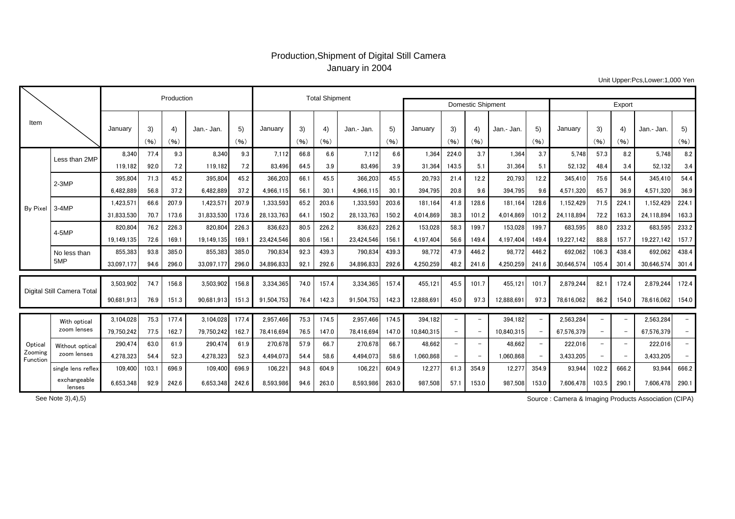## Production,Shipment of Digital Still Camera January in 2004

Unit Upper:Pcs,Lower:1,000 Yen

|                               |                             | Production |            |            |            |            | <b>Total Shipment</b> |            |            |            |                   |            |                          |                          |            |            |            |                          |                   |            |            |
|-------------------------------|-----------------------------|------------|------------|------------|------------|------------|-----------------------|------------|------------|------------|-------------------|------------|--------------------------|--------------------------|------------|------------|------------|--------------------------|-------------------|------------|------------|
|                               |                             |            |            |            |            |            |                       |            |            |            | Domestic Shipment |            |                          |                          |            | Export     |            |                          |                   |            |            |
| Item                          |                             | January    | 3)<br>(96) | 4)<br>(96) | Jan.- Jan  | 5)<br>(96) | January               | 3)<br>(96) | 4)<br>(96) | Jan.- Jan  | 5)<br>(96)        | January    | 3)<br>(96)               | 4)<br>(96)               | Jan.- Jan. | 5)<br>(96) | January    | 3)<br>(96)               | 4)<br>(96)        | Jan.- Jan. | 5)<br>(96) |
| By Pixel                      | Less than 2MP               | 8.340      | 77.4       | 9.3        | 8.340      | 9.3        | 7.112                 | 66.8       | 6.6        | 7.112      | 6.6               | 1,364      | 224.0                    | 3.7                      | 1,364      | 3.7        | 5.748      | 57.3                     | 8.2               | 5.748      | 8.2        |
|                               |                             | 119.182    | 92.0       | 7.2        | 119.182    | 7.2        | 83.496                | 64.5       | 3.9        | 83.496     | 3.9               | 31,364     | 143.5                    | 5.1                      | 31.364     | 5.1        | 52,132     | 48.4                     | 3.4               | 52.132     | 3.4        |
|                               | $2-3MP$                     | 395.804    | 71.3       | 45.2       | 395,804    | 45.2       | 366,203               | 66.1       | 45.5       | 366,203    | 45.5              | 20,793     | 21.4                     | 12.2                     | 20,793     | 12.2       | 345,410    | 75.6                     | 54.4              | 345,410    | 54.4       |
|                               |                             | 6.482.889  | 56.8       | 37.2       | 6,482,889  | 37.2       | 4.966.115             | 56.1       | 30.1       | 4,966,115  | 30.1              | 394,795    | 20.8                     | 9.6                      | 394.795    | 9.6        | 4.571.320  | 65.7                     | 36.9              | 4,571,320  | 36.9       |
|                               | $3-4MP$                     | 1,423,571  | 66.6       | 207.9      | 1,423,571  | 207.9      | 1,333,593             | 65.2       | 203.6      | 1,333,593  | 203.6             | 181,164    | 41.8                     | 128.6                    | 181.164    | 128.6      | 1,152,429  | 71.5                     | 224.1             | 1,152,429  | 224.1      |
|                               |                             | 31.833.530 | 70.7       | 173.6      | 31.833.530 | 173.6      | 28.133.763            | 64.1       | 150.2      | 28,133,763 | 150.2             | 4.014.869  | 38.3                     | 101.2                    | 4.014.869  | 101.2      | 24.118.894 | 72.2                     | 163.3             | 24.118.894 | 163.3      |
|                               | 4-5MP                       | 820.804    | 76.2       | 226.3      | 820.804    | 226.3      | 836.623               | 80.5       | 226.2      | 836.623    | 226.2             | 153,028    | 58.3                     | 199.7                    | 153.028    | 199.7      | 683,595    | 88.0                     | 233.2             | 683.595    | 233.2      |
|                               |                             | 19.149.135 | 72.6       | 169.1      | 19.149.135 | 169.       | 23.424.546            | 80.6       | 156.1      | 23.424.546 | 156.1             | 4.197.404  | 56.6                     | 149.4                    | 4.197.404  | 149.4      | 19.227.142 | 88.8                     | 157.7             | 19.227.142 | 157.7      |
|                               | No less than                | 855.383    | 93.8       | 385.0      | 855.383    | 385.0      | 790.834               | 92.3       | 439.3      | 790.834    | 439.3             | 98.772     | 47.9                     | 446.2                    | 98.772     | 446.2      | 692.062    | 106.3                    | 438.4             | 692.062    | 438.4      |
|                               | 5MP                         | 33.097.177 | 94.6       | 296.0      | 33.097.177 | 296.0      | 34,896,833            | 92.1       | 292.6      | 34.896.833 | 292.6             | 4.250.259  | 48.2                     | 241.6                    | 4.250.259  | 241.6      | 30.646.574 | 105.4                    | 301.4             | 30.646.574 | 301.4      |
| Digital Still Camera Total    |                             | 3.503.902  | 74.7       | 156.8      | 3.503.902  | 156.8      | 3.334.365             | 74.0       | 157.4      | 3.334.365  | 157.4             | 455.121    | 45.5                     | 101.7                    | 455.121    | 101.7      | 2.879.244  | 82.1                     | 172.4             | 2.879.244  | 172.4      |
|                               |                             | 90,681,913 | 76.9       | 151.3      | 90.681.913 | 151.3      | 91,504,753            | 76.4       | 142.3      | 91.504.753 | 142.3             | 12.888.691 | 45.0                     | 97.3                     | 12,888,69  | 97.3       | 78,616,062 | 86.2                     | 154.0             | 78.616.062 | 154.0      |
|                               |                             | 3,104,028  | 75.3       | 177.4      | 3.104.028  | 177.4      | 2.957.466             | 75.3       | 174.5      | 2.957.466  | 174.5             | 394.182    | $\overline{\phantom{0}}$ | $\overline{\phantom{0}}$ | 394.182    |            | 2,563,284  | $\qquad \qquad -$        |                   | 2,563,284  |            |
| Optica<br>Zooming<br>Function | With optical<br>zoom lenses | 79.750.242 | 77.5       | 162.7      | 79.750.242 | 162.       | 78.416.694            | 76.5       | 147.0      | 78.416.694 | 147.0             | 10.840.315 | $\overline{\phantom{0}}$ |                          | 10.840.315 |            | 67.576.379 | $\overline{\phantom{a}}$ |                   | 67.576.379 |            |
|                               | Without optical             | 290.474    | 63.0       | 61.9       | 290.474    | 61.9       | 270.678               | 57.9       | 66.7       | 270.678    | 66.7              | 48.662     | $\overline{\phantom{a}}$ | $\overline{\phantom{m}}$ | 48.662     |            | 222,016    | $\overline{\phantom{a}}$ | $\qquad \qquad -$ | 222.016    |            |
|                               | zoom lenses                 | 4.278.323  | 54.4       | 52.3       | 4.278.323  | 52.3       | 4.494.073             | 54.4       | 58.6       | 4.494.073  | 58.6              | 1.060.868  | $\overline{\phantom{m}}$ | $\overline{\phantom{a}}$ | 1.060.868  |            | 3,433,205  | $\overline{\phantom{a}}$ | $\qquad \qquad -$ | 3.433.205  |            |
|                               | single lens reflex          | 109.400    | 103.       | 696.9      | 109,400    | 696.9      | 106,221               | 94.8       | 604.9      | 106,221    | 604.9             | 12,277     | 61.3                     | 354.9                    | 12,277     | 354.9      | 93,944     | 102.2                    | 666.2             | 93.944     | 666.2      |
|                               | exchangeable<br>lenses      | 6,653,348  | 92.9       | 242.6      | 6,653,348  | 242.6      | 8,593,986             | 94.6       | 263.0      | 8,593,986  | 263.0             | 987,508    | 57.1                     | 153.0                    | 987,508    | 153.0      | 7,606,478  | 103.5                    | 290.              | 7,606,478  | 290.1      |

Source : Camera & Imaging Products Association (CIPA)

See Note 3),4),5)